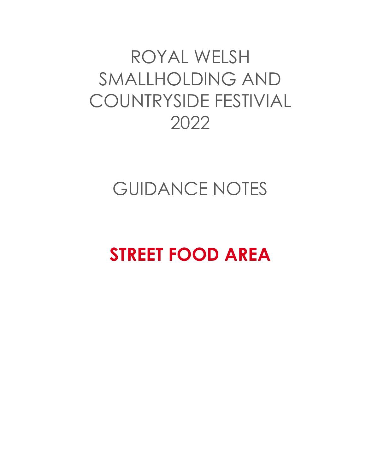# ROYAL WELSH SMALLHOLDING AND COUNTRYSIDE FESTIVIAL 2022

### GUIDANCE NOTES

# **STREET FOOD AREA**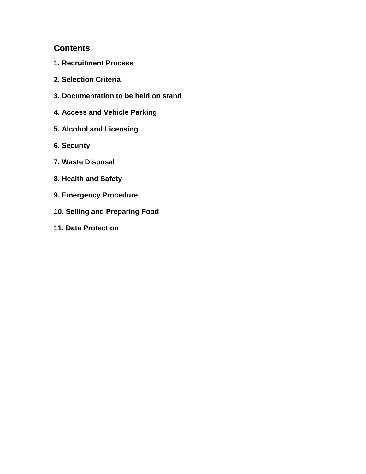### **Contents**

- **1. Recruitment Process**
- **2. Selection Criteria**
- **3. Documentation to be held on stand**
- **4. Access and Vehicle Parking**
- **5. Alcohol and Licensing**
- **6. Security**
- **7. Waste Disposal**
- **8. Health and Safety**
- **9. Emergency Procedure**
- **10. Selling and Preparing Food**
- **11. Data Protection**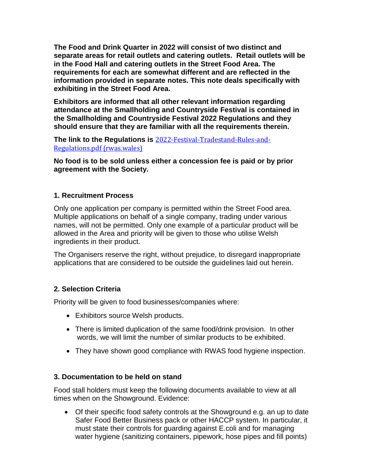**The Food and Drink Quarter in 2022 will consist of two distinct and separate areas for retail outlets and catering outlets. Retail outlets will be in the Food Hall and catering outlets in the Street Food Area. The requirements for each are somewhat different and are reflected in the information provided in separate notes. This note deals specifically with exhibiting in the Street Food Area.**

**Exhibitors are informed that all other relevant information regarding attendance at the Smallholding and Countryside Festival is contained in the Smallholding and Countryside Festival 2022 Regulations and they should ensure that they are familiar with all the requirements therein.**

**The link to the Regulations is** [2022-Festival-Tradestand-Rules-and-](https://rwas.wales/app/uploads/2021/12/2022-Festival-Tradestand-Rules-and-Regulations.pdf)[Regulations.pdf \(rwas.wales\)](https://rwas.wales/app/uploads/2021/12/2022-Festival-Tradestand-Rules-and-Regulations.pdf)

**No food is to be sold unless either a concession fee is paid or by prior agreement with the Society.**

#### **1. Recruitment Process**

Only one application per company is permitted within the Street Food area. Multiple applications on behalf of a single company, trading under various names, will not be permitted. Only one example of a particular product will be allowed in the Area and priority will be given to those who utilise Welsh ingredients in their product.

The Organisers reserve the right, without prejudice, to disregard inappropriate applications that are considered to be outside the guidelines laid out herein.

#### **2. Selection Criteria**

Priority will be given to food businesses/companies where:

- Exhibitors source Welsh products.
- There is limited duplication of the same food/drink provision. In other words, we will limit the number of similar products to be exhibited.
- They have shown good compliance with RWAS food hygiene inspection.

#### **3. Documentation to be held on stand**

Food stall holders must keep the following documents available to view at all times when on the Showground. Evidence:

• Of their specific food safety controls at the Showground e.g. an up to date Safer Food Better Business pack or other HACCP system. In particular, it must state their controls for guarding against E.coli and for managing water hygiene (sanitizing containers, pipework, hose pipes and fill points)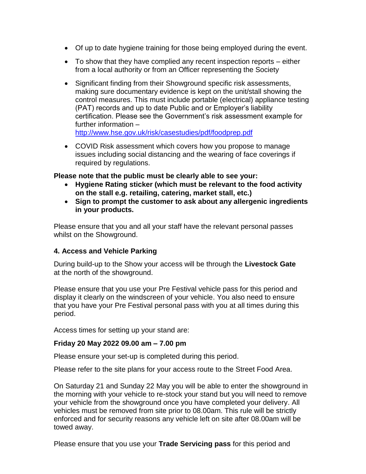- Of up to date hygiene training for those being employed during the event.
- To show that they have complied any recent inspection reports either from a local authority or from an Officer representing the Society
- Significant finding from their Showground specific risk assessments, making sure documentary evidence is kept on the unit/stall showing the control measures. This must include portable (electrical) appliance testing (PAT) records and up to date Public and or Employer's liability certification. Please see the Government's risk assessment example for further information – <http://www.hse.gov.uk/risk/casestudies/pdf/foodprep.pdf>
- COVID Risk assessment which covers how you propose to manage issues including social distancing and the wearing of face coverings if required by regulations.

#### **Please note that the public must be clearly able to see your:**

- **Hygiene Rating sticker (which must be relevant to the food activity on the stall e.g. retailing, catering, market stall, etc.)**
- **Sign to prompt the customer to ask about any allergenic ingredients in your products.**

Please ensure that you and all your staff have the relevant personal passes whilst on the Showground.

#### **4. Access and Vehicle Parking**

During build-up to the Show your access will be through the **Livestock Gate** at the north of the showground.

Please ensure that you use your Pre Festival vehicle pass for this period and display it clearly on the windscreen of your vehicle. You also need to ensure that you have your Pre Festival personal pass with you at all times during this period.

Access times for setting up your stand are:

#### **Friday 20 May 2022 09.00 am – 7.00 pm**

Please ensure your set-up is completed during this period.

Please refer to the site plans for your access route to the Street Food Area.

On Saturday 21 and Sunday 22 May you will be able to enter the showground in the morning with your vehicle to re-stock your stand but you will need to remove your vehicle from the showground once you have completed your delivery. All vehicles must be removed from site prior to 08.00am. This rule will be strictly enforced and for security reasons any vehicle left on site after 08.00am will be towed away.

Please ensure that you use your **Trade Servicing pass** for this period and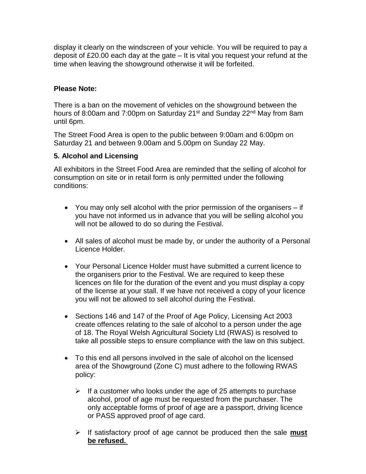display it clearly on the windscreen of your vehicle. You will be required to pay a deposit of £20.00 each day at the gate – It is vital you request your refund at the time when leaving the showground otherwise it will be forfeited.

#### **Please Note:**

There is a ban on the movement of vehicles on the showground between the hours of 8:00am and 7:00pm on Saturday 21<sup>st</sup> and Sunday 22<sup>nd</sup> May from 8am until 6pm.

The Street Food Area is open to the public between 9:00am and 6:00pm on Saturday 21 and between 9.00am and 5.00pm on Sunday 22 May.

#### **5. Alcohol and Licensing**

All exhibitors in the Street Food Area are reminded that the selling of alcohol for consumption on site or in retail form is only permitted under the following conditions:

- You may only sell alcohol with the prior permission of the organisers if you have not informed us in advance that you will be selling alcohol you will not be allowed to do so during the Festival.
- All sales of alcohol must be made by, or under the authority of a Personal Licence Holder.
- Your Personal Licence Holder must have submitted a current licence to the organisers prior to the Festival. We are required to keep these licences on file for the duration of the event and you must display a copy of the license at your stall. If we have not received a copy of your licence you will not be allowed to sell alcohol during the Festival.
- Sections 146 and 147 of the Proof of Age Policy, Licensing Act 2003 create offences relating to the sale of alcohol to a person under the age of 18. The Royal Welsh Agricultural Society Ltd (RWAS) is resolved to take all possible steps to ensure compliance with the law on this subject.
- To this end all persons involved in the sale of alcohol on the licensed area of the Showground (Zone C) must adhere to the following RWAS policy:
	- $\triangleright$  If a customer who looks under the age of 25 attempts to purchase alcohol, proof of age must be requested from the purchaser. The only acceptable forms of proof of age are a passport, driving licence or PASS approved proof of age card.
	- ➢ If satisfactory proof of age cannot be produced then the sale **must be refused.**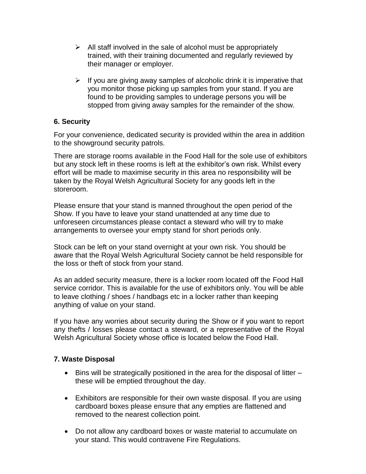- $\triangleright$  All staff involved in the sale of alcohol must be appropriately trained, with their training documented and regularly reviewed by their manager or employer.
- $\triangleright$  If you are giving away samples of alcoholic drink it is imperative that you monitor those picking up samples from your stand. If you are found to be providing samples to underage persons you will be stopped from giving away samples for the remainder of the show.

#### **6. Security**

For your convenience, dedicated security is provided within the area in addition to the showground security patrols.

There are storage rooms available in the Food Hall for the sole use of exhibitors but any stock left in these rooms is left at the exhibitor's own risk. Whilst every effort will be made to maximise security in this area no responsibility will be taken by the Royal Welsh Agricultural Society for any goods left in the storeroom.

Please ensure that your stand is manned throughout the open period of the Show. If you have to leave your stand unattended at any time due to unforeseen circumstances please contact a steward who will try to make arrangements to oversee your empty stand for short periods only.

Stock can be left on your stand overnight at your own risk. You should be aware that the Royal Welsh Agricultural Society cannot be held responsible for the loss or theft of stock from your stand.

As an added security measure, there is a locker room located off the Food Hall service corridor. This is available for the use of exhibitors only. You will be able to leave clothing / shoes / handbags etc in a locker rather than keeping anything of value on your stand.

If you have any worries about security during the Show or if you want to report any thefts / losses please contact a steward, or a representative of the Royal Welsh Agricultural Society whose office is located below the Food Hall.

#### **7. Waste Disposal**

- Bins will be strategically positioned in the area for the disposal of litter these will be emptied throughout the day.
- Exhibitors are responsible for their own waste disposal. If you are using cardboard boxes please ensure that any empties are flattened and removed to the nearest collection point.
- Do not allow any cardboard boxes or waste material to accumulate on your stand. This would contravene Fire Regulations.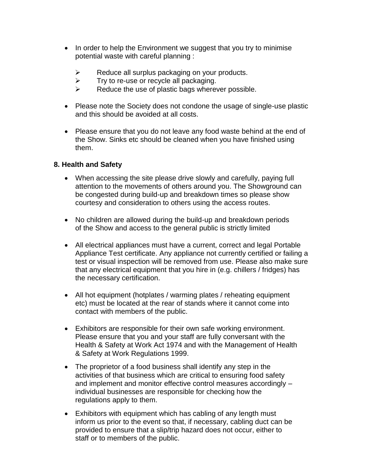- In order to help the Environment we suggest that you try to minimise potential waste with careful planning :
	- $\triangleright$  Reduce all surplus packaging on your products.
	- $\triangleright$  Try to re-use or recycle all packaging.
	- $\triangleright$  Reduce the use of plastic bags wherever possible.
- Please note the Society does not condone the usage of single-use plastic and this should be avoided at all costs.
- Please ensure that you do not leave any food waste behind at the end of the Show. Sinks etc should be cleaned when you have finished using them.

#### **8. Health and Safety**

- When accessing the site please drive slowly and carefully, paying full attention to the movements of others around you. The Showground can be congested during build-up and breakdown times so please show courtesy and consideration to others using the access routes.
- No children are allowed during the build-up and breakdown periods of the Show and access to the general public is strictly limited
- All electrical appliances must have a current, correct and legal Portable Appliance Test certificate. Any appliance not currently certified or failing a test or visual inspection will be removed from use. Please also make sure that any electrical equipment that you hire in (e.g. chillers / fridges) has the necessary certification.
- All hot equipment (hotplates / warming plates / reheating equipment etc) must be located at the rear of stands where it cannot come into contact with members of the public.
- Exhibitors are responsible for their own safe working environment. Please ensure that you and your staff are fully conversant with the Health & Safety at Work Act 1974 and with the Management of Health & Safety at Work Regulations 1999.
- The proprietor of a food business shall identify any step in the activities of that business which are critical to ensuring food safety and implement and monitor effective control measures accordingly – individual businesses are responsible for checking how the regulations apply to them.
- Exhibitors with equipment which has cabling of any length must inform us prior to the event so that, if necessary, cabling duct can be provided to ensure that a slip/trip hazard does not occur, either to staff or to members of the public.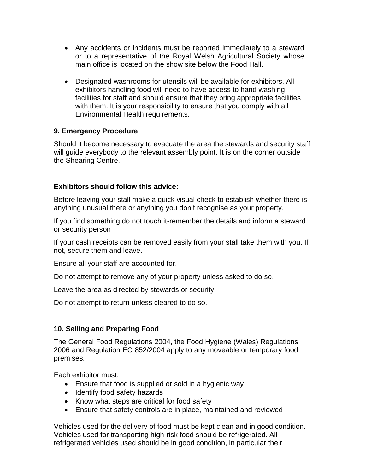- Any accidents or incidents must be reported immediately to a steward or to a representative of the Royal Welsh Agricultural Society whose main office is located on the show site below the Food Hall.
- Designated washrooms for utensils will be available for exhibitors. All exhibitors handling food will need to have access to hand washing facilities for staff and should ensure that they bring appropriate facilities with them. It is your responsibility to ensure that you comply with all Environmental Health requirements.

#### **9. Emergency Procedure**

Should it become necessary to evacuate the area the stewards and security staff will guide everybody to the relevant assembly point. It is on the corner outside the Shearing Centre.

#### **Exhibitors should follow this advice:**

Before leaving your stall make a quick visual check to establish whether there is anything unusual there or anything you don't recognise as your property.

If you find something do not touch it-remember the details and inform a steward or security person

If your cash receipts can be removed easily from your stall take them with you. If not, secure them and leave.

Ensure all your staff are accounted for.

Do not attempt to remove any of your property unless asked to do so.

Leave the area as directed by stewards or security

Do not attempt to return unless cleared to do so.

#### **10. Selling and Preparing Food**

The General Food Regulations 2004, the Food Hygiene (Wales) Regulations 2006 and Regulation EC 852/2004 apply to any moveable or temporary food premises.

Each exhibitor must:

- Ensure that food is supplied or sold in a hygienic way
- Identify food safety hazards
- Know what steps are critical for food safety
- Ensure that safety controls are in place, maintained and reviewed

Vehicles used for the delivery of food must be kept clean and in good condition. Vehicles used for transporting high-risk food should be refrigerated. All refrigerated vehicles used should be in good condition, in particular their